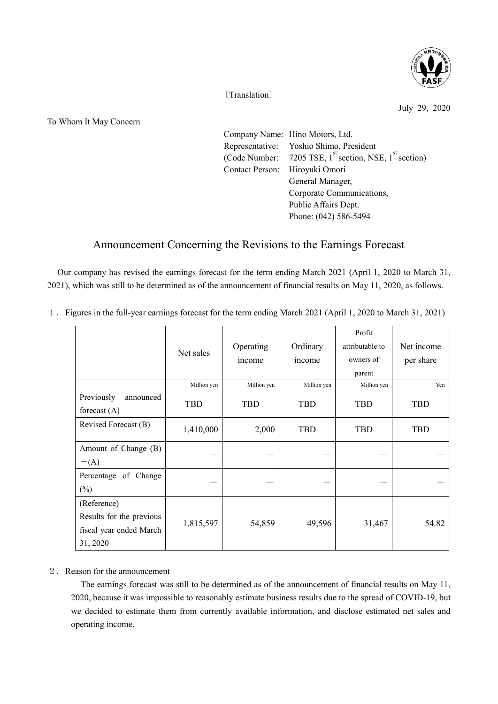

〔Translation〕

July 29, 2020

To Whom It May Concern

|                                | Company Name: Hino Motors, Ltd.                                  |  |  |  |
|--------------------------------|------------------------------------------------------------------|--|--|--|
|                                | Representative: Yoshio Shimo, President                          |  |  |  |
|                                | (Code Number: 7205 TSE, $1^{st}$ section, NSE, $1^{st}$ section) |  |  |  |
| Contact Person: Hiroyuki Omori |                                                                  |  |  |  |
|                                | General Manager,                                                 |  |  |  |
|                                | Corporate Communications,                                        |  |  |  |
|                                | Public Affairs Dept.                                             |  |  |  |
|                                | Phone: (042) 586-5494                                            |  |  |  |
|                                |                                                                  |  |  |  |

## Announcement Concerning the Revisions to the Earnings Forecast

Our company has revised the earnings forecast for the term ending March 2021 (April 1, 2020 to March 31, 2021), which was still to be determined as of the announcement of financial results on May 11, 2020, as follows.

1.Figures in the full-year earnings forecast for the term ending March 2021 (April 1, 2020 to March 31, 2021)

|                          |             |             |             | Profit          |            |
|--------------------------|-------------|-------------|-------------|-----------------|------------|
|                          | Net sales   | Operating   | Ordinary    | attributable to | Net income |
|                          |             | income      | income      | owners of       | per share  |
|                          |             |             |             | parent          |            |
|                          | Million yen | Million yen | Million yen | Million yen     | Yen        |
| Previously<br>announced  | TBD         | TBD         | <b>TBD</b>  | <b>TBD</b>      | <b>TBD</b> |
| forecast $(A)$           |             |             |             |                 |            |
| Revised Forecast (B)     | 1,410,000   | 2,000       | <b>TBD</b>  | <b>TBD</b>      | <b>TBD</b> |
|                          |             |             |             |                 |            |
| Amount of Change (B)     |             |             |             |                 |            |
| $-(A)$                   |             |             |             |                 |            |
| Percentage of Change     |             |             |             |                 |            |
| $(\%)$                   |             |             |             |                 |            |
| (Reference)              |             |             |             |                 |            |
| Results for the previous |             | 54,859      | 49,596      | 31,467          | 54.82      |
| fiscal year ended March  | 1,815,597   |             |             |                 |            |
| 31, 2020                 |             |             |             |                 |            |

## 2.Reason for the announcement

The earnings forecast was still to be determined as of the announcement of financial results on May 11, 2020, because it was impossible to reasonably estimate business results due to the spread of COVID-19, but we decided to estimate them from currently available information, and disclose estimated net sales and operating income.